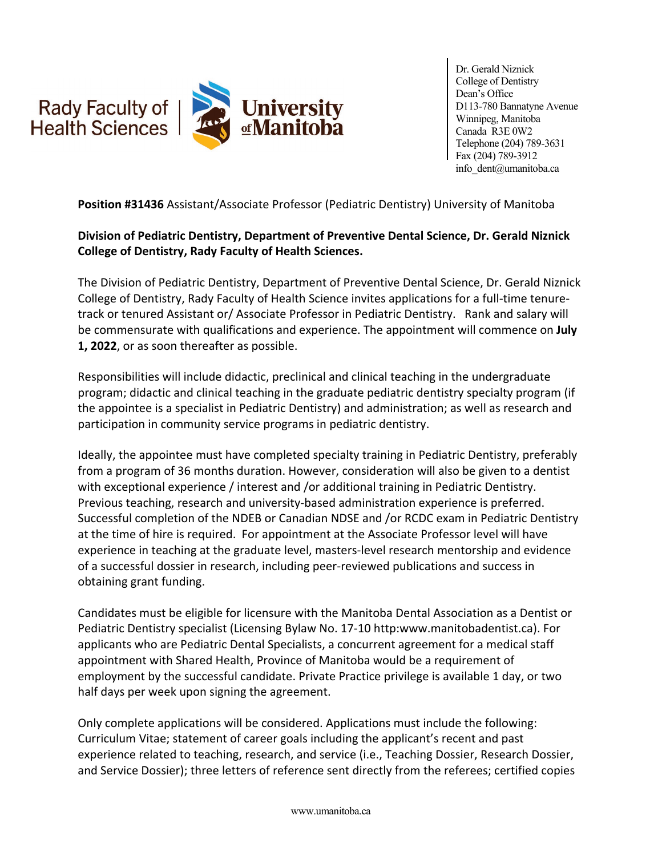

Dr. Gerald Niznick College of Dentistry Dean's Office D113-780 Bannatyne Avenue Winnipeg, Manitoba Canada R3E 0W2 Telephone (204) 789-3631 Fax (204) 789-3912 info\_dent@umanitoba.ca

**Position #31436** Assistant/Associate Professor (Pediatric Dentistry) University of Manitoba

## **Division of Pediatric Dentistry, Department of Preventive Dental Science, Dr. Gerald Niznick College of Dentistry, Rady Faculty of Health Sciences.**

The Division of Pediatric Dentistry, Department of Preventive Dental Science, Dr. Gerald Niznick College of Dentistry, Rady Faculty of Health Science invites applications for a full-time tenuretrack or tenured Assistant or/ Associate Professor in Pediatric Dentistry. Rank and salary will be commensurate with qualifications and experience. The appointment will commence on **July 1, 2022**, or as soon thereafter as possible.

Responsibilities will include didactic, preclinical and clinical teaching in the undergraduate program; didactic and clinical teaching in the graduate pediatric dentistry specialty program (if the appointee is a specialist in Pediatric Dentistry) and administration; as well as research and participation in community service programs in pediatric dentistry.

Ideally, the appointee must have completed specialty training in Pediatric Dentistry, preferably from a program of 36 months duration. However, consideration will also be given to a dentist with exceptional experience / interest and /or additional training in Pediatric Dentistry. Previous teaching, research and university-based administration experience is preferred. Successful completion of the NDEB or Canadian NDSE and /or RCDC exam in Pediatric Dentistry at the time of hire is required. For appointment at the Associate Professor level will have experience in teaching at the graduate level, masters-level research mentorship and evidence of a successful dossier in research, including peer-reviewed publications and success in obtaining grant funding.

Candidates must be eligible for licensure with the Manitoba Dental Association as a Dentist or Pediatric Dentistry specialist (Licensing Bylaw No. 17-10 http:www.manitobadentist.ca). For applicants who are Pediatric Dental Specialists, a concurrent agreement for a medical staff appointment with Shared Health, Province of Manitoba would be a requirement of employment by the successful candidate. Private Practice privilege is available 1 day, or two half days per week upon signing the agreement.

Only complete applications will be considered. Applications must include the following: Curriculum Vitae; statement of career goals including the applicant's recent and past experience related to teaching, research, and service (i.e., Teaching Dossier, Research Dossier, and Service Dossier); three letters of reference sent directly from the referees; certified copies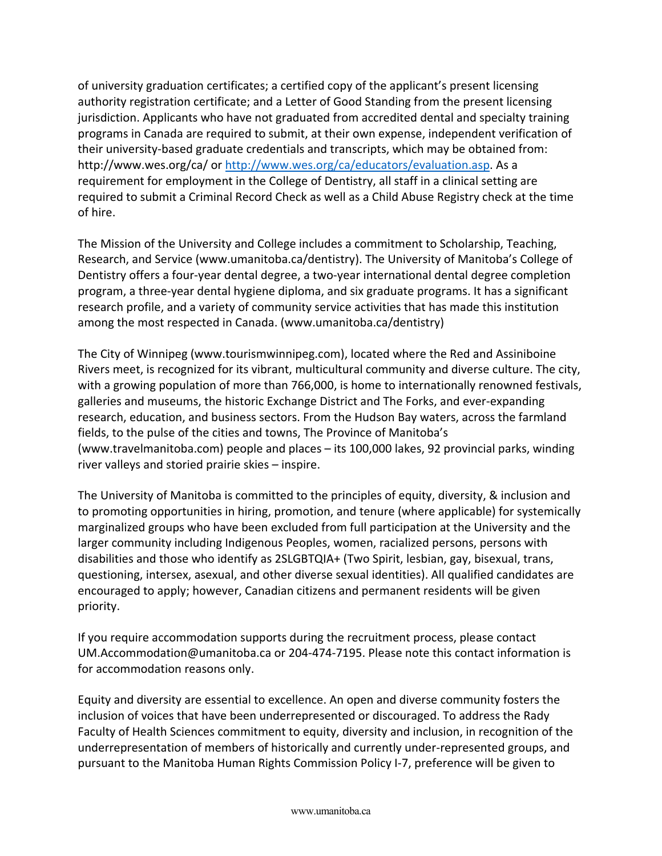of university graduation certificates; a certified copy of the applicant's present licensing authority registration certificate; and a Letter of Good Standing from the present licensing jurisdiction. Applicants who have not graduated from accredited dental and specialty training programs in Canada are required to submit, at their own expense, independent verification of their university-based graduate credentials and transcripts, which may be obtained from: http://www.wes.org/ca/ or [http://www.wes.org/ca/educators/evaluation.asp.](http://www.wes.org/ca/educators/evaluation.asp) As a requirement for employment in the College of Dentistry, all staff in a clinical setting are required to submit a Criminal Record Check as well as a Child Abuse Registry check at the time of hire.

The Mission of the University and College includes a commitment to Scholarship, Teaching, Research, and Service (www.umanitoba.ca/dentistry). The University of Manitoba's College of Dentistry offers a four-year dental degree, a two-year international dental degree completion program, a three-year dental hygiene diploma, and six graduate programs. It has a significant research profile, and a variety of community service activities that has made this institution among the most respected in Canada. (www.umanitoba.ca/dentistry)

The City of Winnipeg (www.tourismwinnipeg.com), located where the Red and Assiniboine Rivers meet, is recognized for its vibrant, multicultural community and diverse culture. The city, with a growing population of more than 766,000, is home to internationally renowned festivals, galleries and museums, the historic Exchange District and The Forks, and ever-expanding research, education, and business sectors. From the Hudson Bay waters, across the farmland fields, to the pulse of the cities and towns, The Province of Manitoba's (www.travelmanitoba.com) people and places – its 100,000 lakes, 92 provincial parks, winding river valleys and storied prairie skies – inspire.

The University of Manitoba is committed to the principles of equity, diversity, & inclusion and to promoting opportunities in hiring, promotion, and tenure (where applicable) for systemically marginalized groups who have been excluded from full participation at the University and the larger community including Indigenous Peoples, women, racialized persons, persons with disabilities and those who identify as 2SLGBTQIA+ (Two Spirit, lesbian, gay, bisexual, trans, questioning, intersex, asexual, and other diverse sexual identities). All qualified candidates are encouraged to apply; however, Canadian citizens and permanent residents will be given priority.

If you require accommodation supports during the recruitment process, please contact UM.Accommodation@umanitoba.ca or 204-474-7195. Please note this contact information is for accommodation reasons only.

Equity and diversity are essential to excellence. An open and diverse community fosters the inclusion of voices that have been underrepresented or discouraged. To address the Rady Faculty of Health Sciences commitment to equity, diversity and inclusion, in recognition of the underrepresentation of members of historically and currently under-represented groups, and pursuant to the Manitoba Human Rights Commission Policy I-7, preference will be given to